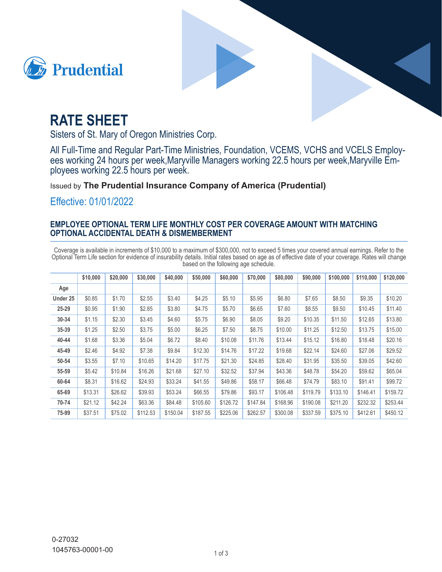



# **RATE SHEET**

Sisters of St. Mary of Oregon Ministries Corp.

All Full-Time and Regular Part-Time Ministries, Foundation, VCEMS, VCHS and VCELS Employees working 24 hours per week, Maryville Managers working 22.5 hours per week, Maryville Employees working 22.5 hours per week.

**Issued by The Prudential Insurance Company of America (Prudential)** 

Effective: 01/01/2022

## **EMPLOYEE OPTIONAL TERM LIFE MONTHLY COST PER COVERAGE AMOUNT WITH MATCHING OPTIONAL ACCIDENTAL DEATH & DISMEMBERMENT**

Coverage is available in increments of \$10,000 to a maximum of \$300,000, not to exceed 5 times your covered annual earnings. Refer to the Optional Term Life section for evidence of insurability details. Initial rates based on age as of effective date of your coverage. Rates will change based on the following age schedule.

|          | \$10,000 | \$20,000 | \$30,000 | \$40,000 | \$50,000 | \$60,000 | \$70,000 | \$80,000 | \$90,000 | \$100,000 | \$110,000 | \$120,000 |
|----------|----------|----------|----------|----------|----------|----------|----------|----------|----------|-----------|-----------|-----------|
| Age      |          |          |          |          |          |          |          |          |          |           |           |           |
| Under 25 | \$0.85   | \$1.70   | \$2.55   | \$3.40   | \$4.25   | \$5.10   | \$5.95   | \$6.80   | \$7.65   | \$8.50    | \$9.35    | \$10.20   |
| 25-29    | \$0.95   | \$1.90   | \$2.85   | \$3.80   | \$4.75   | \$5.70   | \$6.65   | \$7.60   | \$8.55   | \$9.50    | \$10.45   | \$11.40   |
| 30-34    | \$1.15   | \$2.30   | \$3.45   | \$4.60   | \$5.75   | \$6.90   | \$8.05   | \$9.20   | \$10.35  | \$11.50   | \$12.65   | \$13.80   |
| 35-39    | \$1.25   | \$2.50   | \$3.75   | \$5.00   | \$6.25   | \$7.50   | \$8.75   | \$10.00  | \$11.25  | \$12.50   | \$13.75   | \$15.00   |
| 40-44    | \$1.68   | \$3.36   | \$5.04   | \$6.72   | \$8.40   | \$10.08  | \$11.76  | \$13.44  | \$15.12  | \$16.80   | \$18.48   | \$20.16   |
| 45-49    | \$2.46   | \$4.92   | \$7.38   | \$9.84   | \$12.30  | \$14.76  | \$17.22  | \$19.68  | \$22.14  | \$24.60   | \$27.06   | \$29.52   |
| 50-54    | \$3.55   | \$7.10   | \$10.65  | \$14.20  | \$17.75  | \$21.30  | \$24.85  | \$28.40  | \$31.95  | \$35.50   | \$39.05   | \$42.60   |
| 55-59    | \$5.42   | \$10.84  | \$16.26  | \$21.68  | \$27.10  | \$32.52  | \$37.94  | \$43.36  | \$48.78  | \$54.20   | \$59.62   | \$65.04   |
| 60-64    | \$8.31   | \$16.62  | \$24.93  | \$33.24  | \$41.55  | \$49.86  | \$58.17  | \$66.48  | \$74.79  | \$83.10   | \$91.41   | \$99.72   |
| 65-69    | \$13.31  | \$26.62  | \$39.93  | \$53.24  | \$66.55  | \$79.86  | \$93.17  | \$106.48 | \$119.79 | \$133.10  | \$146.41  | \$159.72  |
| 70-74    | \$21.12  | \$42.24  | \$63.36  | \$84.48  | \$105.60 | \$126.72 | \$147.84 | \$168.96 | \$190.08 | \$211.20  | \$232.32  | \$253.44  |
| 75-99    | \$37.51  | \$75.02  | \$112.53 | \$150.04 | \$187.55 | \$225.06 | \$262.57 | \$300.08 | \$337.59 | \$375.10  | \$412.61  | \$450.12  |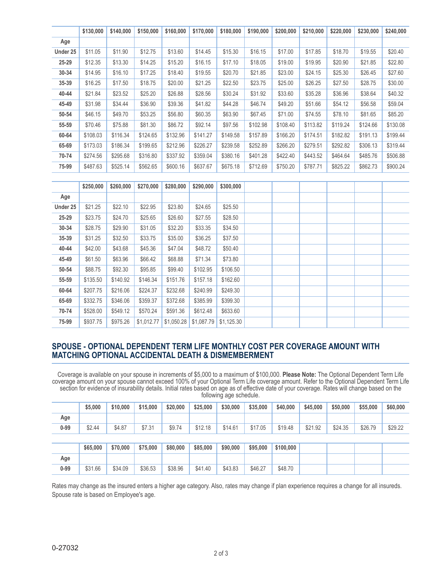|          | \$130,000 | \$140,000 | \$150,000  | \$160,000  | \$170,000  | \$180,000  | \$190,000 | \$200,000 | \$210,000 | \$220,000 | \$230,000 | \$240,000 |
|----------|-----------|-----------|------------|------------|------------|------------|-----------|-----------|-----------|-----------|-----------|-----------|
| Age      |           |           |            |            |            |            |           |           |           |           |           |           |
| Under 25 | \$11.05   | \$11.90   | \$12.75    | \$13.60    | \$14.45    | \$15.30    | \$16.15   | \$17.00   | \$17.85   | \$18.70   | \$19.55   | \$20.40   |
| 25-29    | \$12.35   | \$13.30   | \$14.25    | \$15.20    | \$16.15    | \$17.10    | \$18.05   | \$19.00   | \$19.95   | \$20.90   | \$21.85   | \$22.80   |
| 30-34    | \$14.95   | \$16.10   | \$17.25    | \$18.40    | \$19.55    | \$20.70    | \$21.85   | \$23.00   | \$24.15   | \$25.30   | \$26.45   | \$27.60   |
| 35-39    | \$16.25   | \$17.50   | \$18.75    | \$20.00    | \$21.25    | \$22.50    | \$23.75   | \$25.00   | \$26.25   | \$27.50   | \$28.75   | \$30.00   |
| 40-44    | \$21.84   | \$23.52   | \$25.20    | \$26.88    | \$28.56    | \$30.24    | \$31.92   | \$33.60   | \$35.28   | \$36.96   | \$38.64   | \$40.32   |
| 45-49    | \$31.98   | \$34.44   | \$36.90    | \$39.36    | \$41.82    | \$44.28    | \$46.74   | \$49.20   | \$51.66   | \$54.12   | \$56.58   | \$59.04   |
| 50-54    | \$46.15   | \$49.70   | \$53.25    | \$56.80    | \$60.35    | \$63.90    | \$67.45   | \$71.00   | \$74.55   | \$78.10   | \$81.65   | \$85.20   |
| 55-59    | \$70.46   | \$75.88   | \$81.30    | \$86.72    | \$92.14    | \$97.56    | \$102.98  | \$108.40  | \$113.82  | \$119.24  | \$124.66  | \$130.08  |
| 60-64    | \$108.03  | \$116.34  | \$124.65   | \$132.96   | \$141.27   | \$149.58   | \$157.89  | \$166.20  | \$174.51  | \$182.82  | \$191.13  | \$199.44  |
| 65-69    | \$173.03  | \$186.34  | \$199.65   | \$212.96   | \$226.27   | \$239.58   | \$252.89  | \$266.20  | \$279.51  | \$292.82  | \$306.13  | \$319.44  |
| 70-74    | \$274.56  | \$295.68  | \$316.80   | \$337.92   | \$359.04   | \$380.16   | \$401.28  | \$422.40  | \$443.52  | \$464.64  | \$485.76  | \$506.88  |
| 75-99    | \$487.63  | \$525.14  | \$562.65   | \$600.16   | \$637.67   | \$675.18   | \$712.69  | \$750.20  | \$787.71  | \$825.22  | \$862.73  | \$900.24  |
|          |           |           |            |            |            |            |           |           |           |           |           |           |
|          | \$250,000 | \$260,000 | \$270,000  | \$280,000  | \$290,000  | \$300,000  |           |           |           |           |           |           |
| Age      |           |           |            |            |            |            |           |           |           |           |           |           |
| Under 25 | \$21.25   | \$22.10   | \$22.95    | \$23.80    | \$24.65    | \$25.50    |           |           |           |           |           |           |
| 25-29    | \$23.75   | \$24.70   | \$25.65    | \$26.60    | \$27.55    | \$28.50    |           |           |           |           |           |           |
| 30-34    | \$28.75   | \$29.90   | \$31.05    | \$32.20    | \$33.35    | \$34.50    |           |           |           |           |           |           |
| 35-39    | \$31.25   | \$32.50   | \$33.75    | \$35.00    | \$36.25    | \$37.50    |           |           |           |           |           |           |
| 40-44    | \$42.00   | \$43.68   | \$45.36    | \$47.04    | \$48.72    | \$50.40    |           |           |           |           |           |           |
| 45-49    | \$61.50   | \$63.96   | \$66.42    | \$68.88    | \$71.34    | \$73.80    |           |           |           |           |           |           |
| 50-54    | \$88.75   | \$92.30   | \$95.85    | \$99.40    | \$102.95   | \$106.50   |           |           |           |           |           |           |
| 55-59    | \$135.50  | \$140.92  | \$146.34   | \$151.76   | \$157.18   | \$162.60   |           |           |           |           |           |           |
| 60-64    | \$207.75  | \$216.06  | \$224.37   | \$232.68   | \$240.99   | \$249.30   |           |           |           |           |           |           |
| 65-69    | \$332.75  | \$346.06  | \$359.37   | \$372.68   | \$385.99   | \$399.30   |           |           |           |           |           |           |
| 70-74    | \$528.00  | \$549.12  | \$570.24   | \$591.36   | \$612.48   | \$633.60   |           |           |           |           |           |           |
| 75-99    | \$937.75  | \$975.26  | \$1,012.77 | \$1,050.28 | \$1,087.79 | \$1,125.30 |           |           |           |           |           |           |

#### **SPOUSE - OPTIONAL DEPENDENT TERM LIFE MONTHLY COST PER COVERAGE AMOUNT WITH MATCHING OPTIONAL ACCIDENTAL DEATH & DISMEMBERMENT**

Coverage is available on your spouse in increments of \$5,000 to a maximum of \$100,000. Please Note: The Optional Dependent Term Life coverage amount on your spouse cannot exceed 100% of your Optional Term Life coverage amount. Refer to the Optional Dependent Term Life section for evidence of insurability details. Initial rates based on age as of effective date of your coverage. Rates will change based on the following age schedule.

|          | \$5,000  | \$10,000 | \$15,000 | \$20,000 | \$25,000 | \$30,000 | \$35,000 | \$40,000  | \$45,000 | \$50,000 | \$55,000 | \$60,000 |
|----------|----------|----------|----------|----------|----------|----------|----------|-----------|----------|----------|----------|----------|
| Age      |          |          |          |          |          |          |          |           |          |          |          |          |
| $0 - 99$ | \$2.44   | \$4.87   | \$7.31   | \$9.74   | \$12.18  | \$14.61  | \$17.05  | \$19.48   | \$21.92  | \$24.35  | \$26.79  | \$29.22  |
|          |          |          |          |          |          |          |          |           |          |          |          |          |
|          | \$65,000 | \$70,000 | \$75,000 | \$80,000 | \$85,000 | \$90,000 | \$95,000 | \$100,000 |          |          |          |          |
| Age      |          |          |          |          |          |          |          |           |          |          |          |          |
| $0 - 99$ | \$31.66  | \$34.09  | \$36.53  | \$38.96  | \$41.40  | \$43.83  | \$46.27  | \$48.70   |          |          |          |          |

Spouse rate is based on Employee's age. Rates may change as the insured enters a higher age category. Also, rates may change if plan experience requires a change for all insureds.